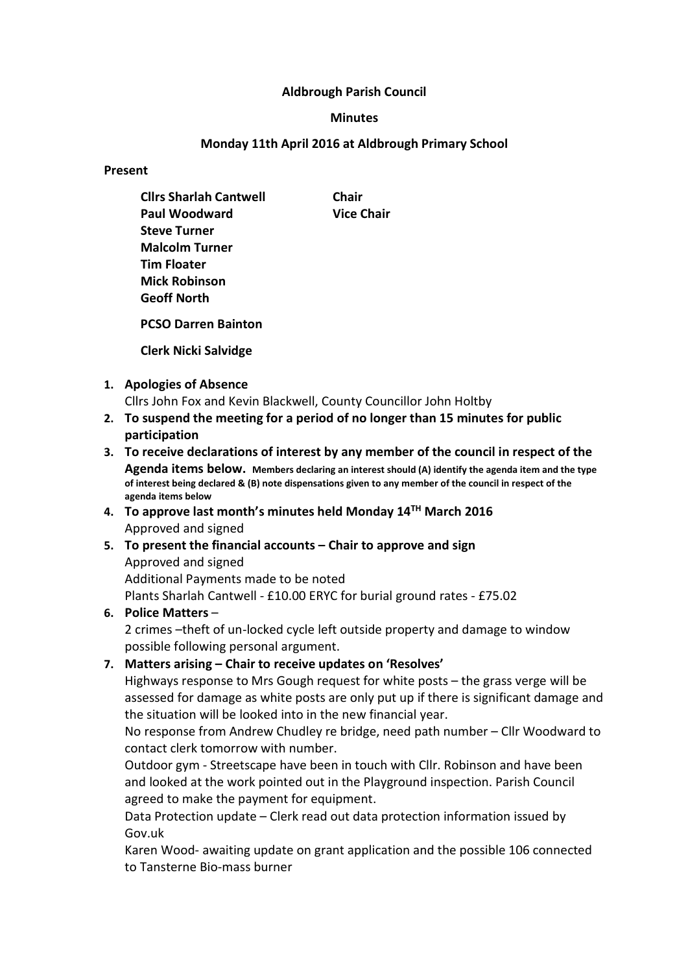### Aldbrough Parish Council

### Minutes

### Monday 11th April 2016 at Aldbrough Primary School

Present

|                            | <b>Clirs Sharlah Cantwell</b>                                                                   | Chair             |
|----------------------------|-------------------------------------------------------------------------------------------------|-------------------|
|                            | <b>Paul Woodward</b>                                                                            | <b>Vice Chair</b> |
|                            | <b>Steve Turner</b>                                                                             |                   |
|                            | <b>Malcolm Turner</b>                                                                           |                   |
|                            | <b>Tim Floater</b>                                                                              |                   |
|                            | <b>Mick Robinson</b>                                                                            |                   |
|                            | <b>Geoff North</b>                                                                              |                   |
| <b>PCSO Darren Bainton</b> |                                                                                                 |                   |
|                            | <b>Clerk Nicki Salvidge</b>                                                                     |                   |
|                            | 1. Apologies of Absence                                                                         |                   |
|                            | Cllrs John Fox and Kevin Blackwell, County Councillor John Holtby                               |                   |
|                            | 2. To suspend the meeting for a period of no longer than 15 minutes for public<br>participation |                   |
|                            |                                                                                                 |                   |

- 3. To receive declarations of interest by any member of the council in respect of the Agenda items below. Members declaring an interest should (A) identify the agenda item and the type of interest being declared & (B) note dispensations given to any member of the council in respect of the agenda items below
- 4. To approve last month's minutes held Monday 14<sup>TH</sup> March 2016 Approved and signed
- 5. To present the financial accounts Chair to approve and sign Approved and signed Additional Payments made to be noted Plants Sharlah Cantwell - £10.00 ERYC for burial ground rates - £75.02
- 6. Police Matters –

2 crimes –theft of un-locked cycle left outside property and damage to window possible following personal argument.

7. Matters arising – Chair to receive updates on 'Resolves'

Highways response to Mrs Gough request for white posts – the grass verge will be assessed for damage as white posts are only put up if there is significant damage and the situation will be looked into in the new financial year.

No response from Andrew Chudley re bridge, need path number – Cllr Woodward to contact clerk tomorrow with number.

Outdoor gym - Streetscape have been in touch with Cllr. Robinson and have been and looked at the work pointed out in the Playground inspection. Parish Council agreed to make the payment for equipment.

Data Protection update – Clerk read out data protection information issued by Gov.uk

Karen Wood- awaiting update on grant application and the possible 106 connected to Tansterne Bio-mass burner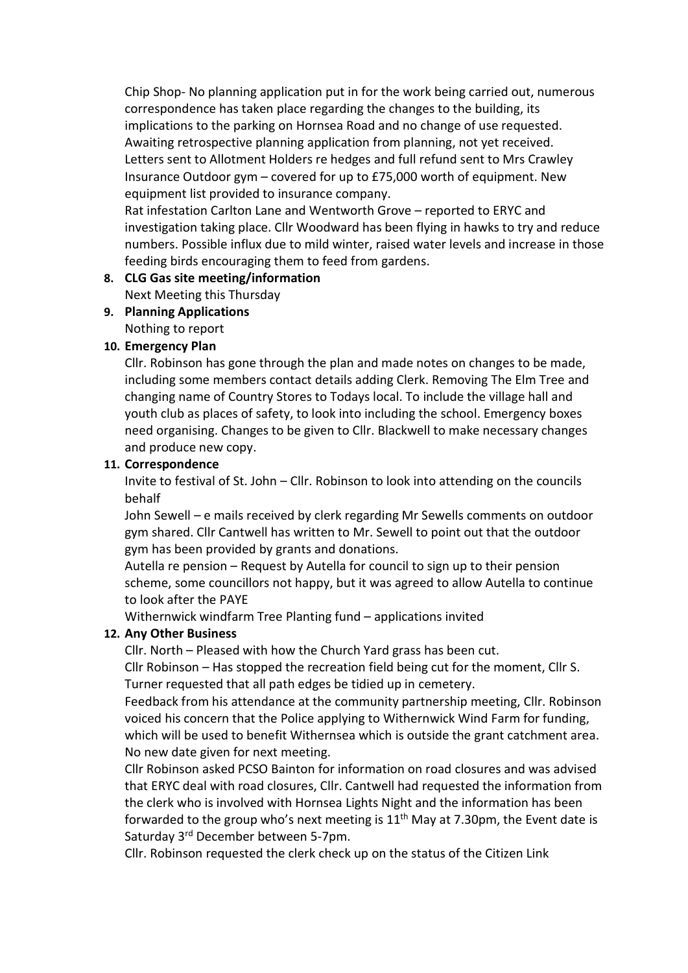Chip Shop- No planning application put in for the work being carried out, numerous correspondence has taken place regarding the changes to the building, its implications to the parking on Hornsea Road and no change of use requested. Awaiting retrospective planning application from planning, not yet received. Letters sent to Allotment Holders re hedges and full refund sent to Mrs Crawley Insurance Outdoor gym – covered for up to £75,000 worth of equipment. New equipment list provided to insurance company.

Rat infestation Carlton Lane and Wentworth Grove – reported to ERYC and investigation taking place. Cllr Woodward has been flying in hawks to try and reduce numbers. Possible influx due to mild winter, raised water levels and increase in those feeding birds encouraging them to feed from gardens.

## 8. CLG Gas site meeting/information

Next Meeting this Thursday

# 9. Planning Applications

Nothing to report

## 10. Emergency Plan

Cllr. Robinson has gone through the plan and made notes on changes to be made, including some members contact details adding Clerk. Removing The Elm Tree and changing name of Country Stores to Todays local. To include the village hall and youth club as places of safety, to look into including the school. Emergency boxes need organising. Changes to be given to Cllr. Blackwell to make necessary changes and produce new copy.

## 11. Correspondence

Invite to festival of St. John – Cllr. Robinson to look into attending on the councils behalf

John Sewell – e mails received by clerk regarding Mr Sewells comments on outdoor gym shared. Cllr Cantwell has written to Mr. Sewell to point out that the outdoor gym has been provided by grants and donations.

Autella re pension – Request by Autella for council to sign up to their pension scheme, some councillors not happy, but it was agreed to allow Autella to continue to look after the PAYE

Withernwick windfarm Tree Planting fund – applications invited

## 12. Any Other Business

Cllr. North – Pleased with how the Church Yard grass has been cut.

Cllr Robinson – Has stopped the recreation field being cut for the moment, Cllr S. Turner requested that all path edges be tidied up in cemetery.

Feedback from his attendance at the community partnership meeting, Cllr. Robinson voiced his concern that the Police applying to Withernwick Wind Farm for funding, which will be used to benefit Withernsea which is outside the grant catchment area. No new date given for next meeting.

Cllr Robinson asked PCSO Bainton for information on road closures and was advised that ERYC deal with road closures, Cllr. Cantwell had requested the information from the clerk who is involved with Hornsea Lights Night and the information has been forwarded to the group who's next meeting is  $11<sup>th</sup>$  May at 7.30pm, the Event date is Saturday 3rd December between 5-7pm.

Cllr. Robinson requested the clerk check up on the status of the Citizen Link